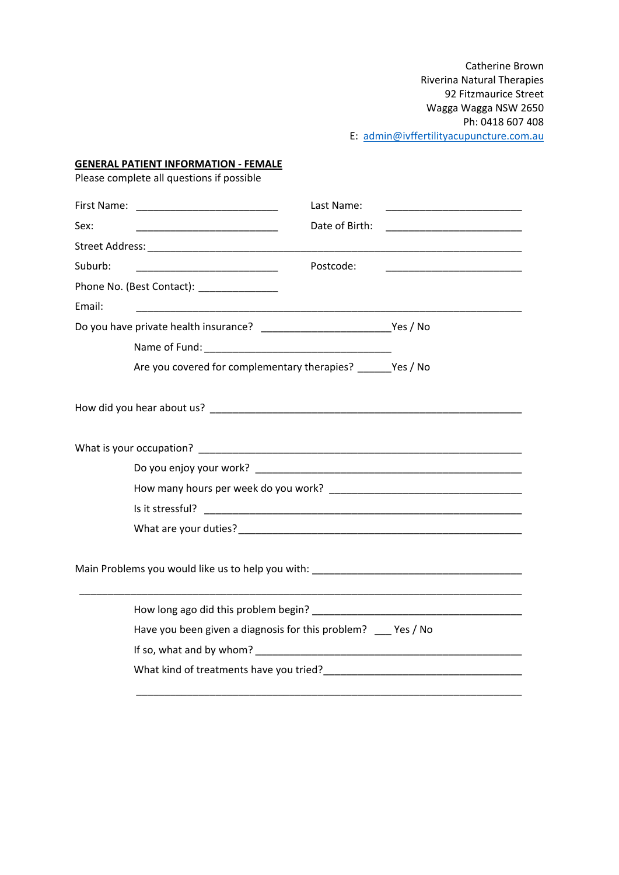Catherine Brown Riverina Natural Therapies 92 Fitzmaurice Street Wagga Wagga NSW 2650 Ph: 0418 607 408 E: [admin@ivffertilityacupuncture.com.au](mailto:admin@ivffertilityacupuncture.com.au)

#### **GENERAL PATIENT INFORMATION - FEMALE**

Please complete all questions if possible

|         |                                                                                           | Last Name:     |                                                             |
|---------|-------------------------------------------------------------------------------------------|----------------|-------------------------------------------------------------|
| Sex:    |                                                                                           | Date of Birth: | <u> 1989 - Johann Barbara, martxa al III-lea (h. 1974).</u> |
|         |                                                                                           |                |                                                             |
| Suburb: | <u> 1989 - Johann Barbara, martxa al-Amerikaan piker (</u>                                | Postcode:      |                                                             |
|         | Phone No. (Best Contact): ______________                                                  |                |                                                             |
| Email:  | the control of the control of the control of the control of the control of the control of |                |                                                             |
|         |                                                                                           |                |                                                             |
|         |                                                                                           |                |                                                             |
|         | Are you covered for complementary therapies? Yes / No                                     |                |                                                             |
|         |                                                                                           |                |                                                             |
|         |                                                                                           |                |                                                             |
|         |                                                                                           |                |                                                             |
|         |                                                                                           |                |                                                             |
|         |                                                                                           |                |                                                             |
|         |                                                                                           |                |                                                             |
|         | Main Problems you would like us to help you with: _______________________________         |                |                                                             |
|         |                                                                                           |                |                                                             |
|         | Have you been given a diagnosis for this problem? __ Yes / No                             |                |                                                             |
|         |                                                                                           |                |                                                             |
|         |                                                                                           |                |                                                             |
|         |                                                                                           |                |                                                             |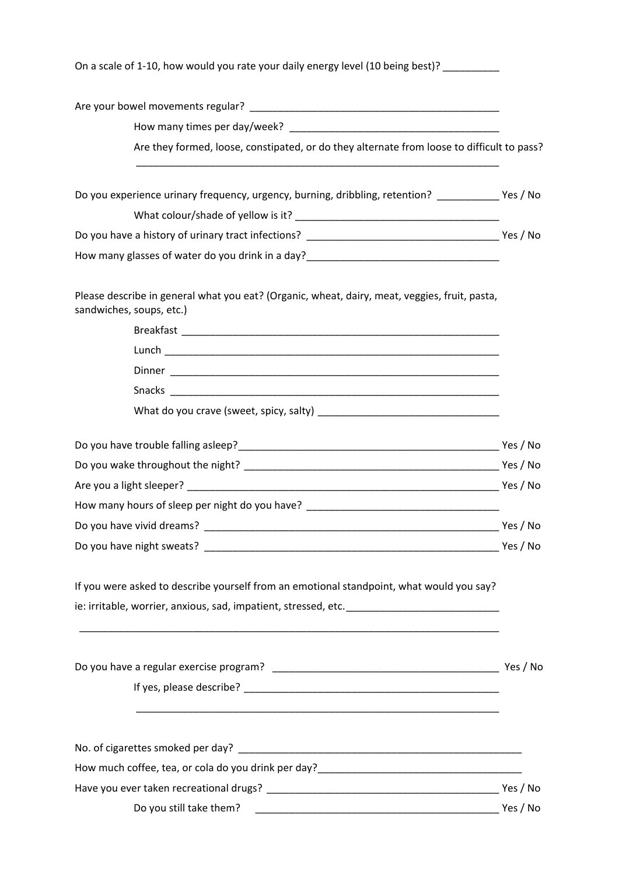| On a scale of 1-10, how would you rate your daily energy level (10 being best)? _________                                 |  |
|---------------------------------------------------------------------------------------------------------------------------|--|
|                                                                                                                           |  |
|                                                                                                                           |  |
| Are they formed, loose, constipated, or do they alternate from loose to difficult to pass?                                |  |
| Do you experience urinary frequency, urgency, burning, dribbling, retention? Ves / No                                     |  |
|                                                                                                                           |  |
|                                                                                                                           |  |
| How many glasses of water do you drink in a day?_________________________________                                         |  |
| Please describe in general what you eat? (Organic, wheat, dairy, meat, veggies, fruit, pasta,<br>sandwiches, soups, etc.) |  |
|                                                                                                                           |  |
|                                                                                                                           |  |
|                                                                                                                           |  |
|                                                                                                                           |  |
|                                                                                                                           |  |
|                                                                                                                           |  |
|                                                                                                                           |  |
|                                                                                                                           |  |
| How many hours of sleep per night do you have? __________________________________                                         |  |
|                                                                                                                           |  |
|                                                                                                                           |  |
| If you were asked to describe yourself from an emotional standpoint, what would you say?                                  |  |
| ie: irritable, worrier, anxious, sad, impatient, stressed, etc. ___________________________________                       |  |
|                                                                                                                           |  |
|                                                                                                                           |  |
|                                                                                                                           |  |
|                                                                                                                           |  |
|                                                                                                                           |  |
|                                                                                                                           |  |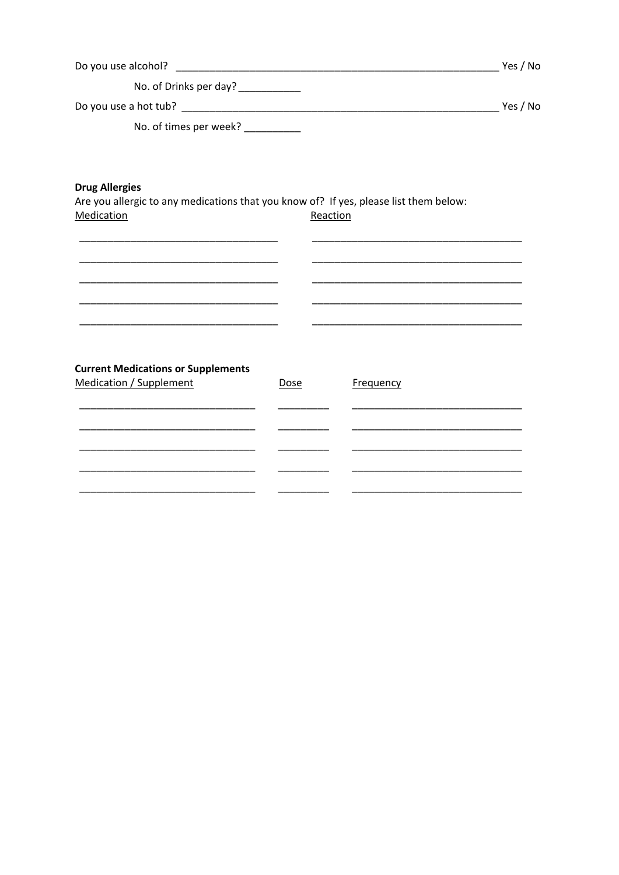| Do you use alcohol?              | Yes / No |
|----------------------------------|----------|
| No. of Drinks per day?           |          |
| Do you use a hot tub?            | Yes / No |
| No. of times per week? _________ |          |
|                                  |          |
|                                  |          |

## **Drug Allergies**

Are you allergic to any medications that you know of? If yes, please list them below: Reaction Medication

 $\overline{\phantom{a}}$ 

# **Current Medications or Supplements**

<u> 1989 - Johann John Harry, mars ar breithinn ar breithinn ar breithinn ar breithinn ar breithinn ar breithinn a</u>

| <b>Medication / Supplement</b> | Dose | Frequency |
|--------------------------------|------|-----------|
|                                |      |           |
|                                |      |           |
|                                |      |           |
|                                |      |           |
|                                |      |           |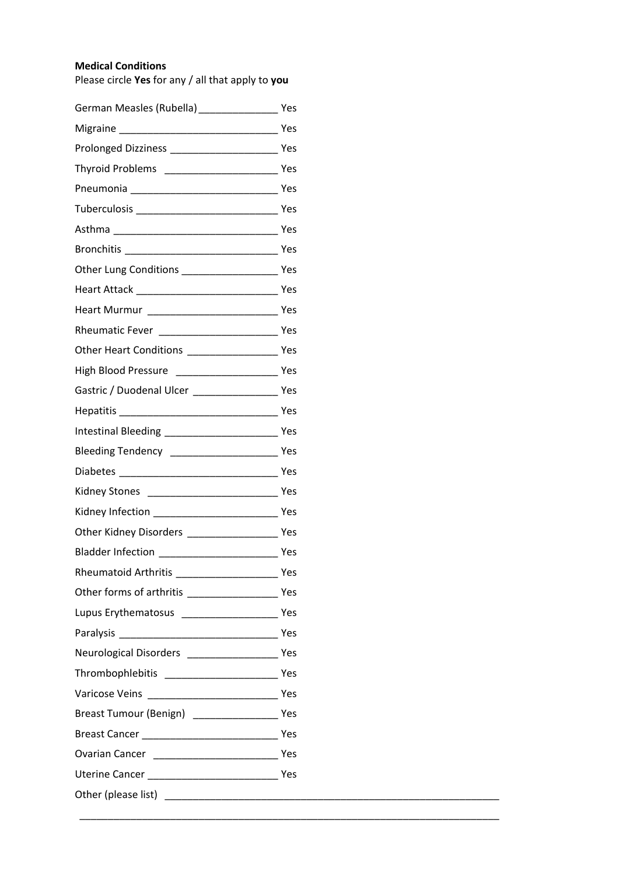## **Medical Conditions**

Please circle **Yes** for any / all that apply to **you**

| High Blood Pressure ___________________________ Yes    |  |
|--------------------------------------------------------|--|
|                                                        |  |
|                                                        |  |
|                                                        |  |
| Bleeding Tendency ________________________________ Yes |  |
|                                                        |  |
|                                                        |  |
|                                                        |  |
|                                                        |  |
|                                                        |  |
| Rheumatoid Arthritis Manuel Alexander Manuel Mes       |  |
|                                                        |  |
|                                                        |  |
|                                                        |  |
| Neurological Disorders ___________________________ Yes |  |
|                                                        |  |
|                                                        |  |
| Breast Tumour (Benign) ________________________ Yes    |  |
|                                                        |  |
|                                                        |  |
|                                                        |  |
|                                                        |  |

\_\_\_\_\_\_\_\_\_\_\_\_\_\_\_\_\_\_\_\_\_\_\_\_\_\_\_\_\_\_\_\_\_\_\_\_\_\_\_\_\_\_\_\_\_\_\_\_\_\_\_\_\_\_\_\_\_\_\_\_\_\_\_\_\_\_\_\_\_\_\_\_\_\_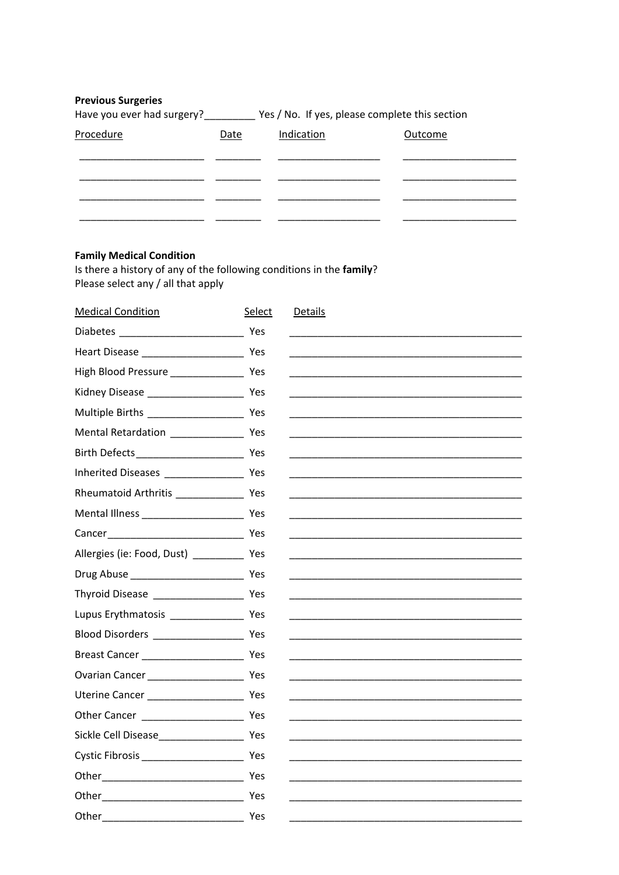## **Previous Surgeries**

| Have you ever had surgery? |  | Yes / No. If yes, please complete this section |
|----------------------------|--|------------------------------------------------|
|----------------------------|--|------------------------------------------------|

| Procedure | Date | Indication | Outcome |
|-----------|------|------------|---------|
|           |      |            |         |
|           |      |            |         |
|           |      |            |         |
|           |      |            |         |

# **Family Medical Condition**

Is there a history of any of the following conditions in the family? Please select any / all that apply

| <b>Medical Condition</b>                     | Select | <b>Details</b>                                       |
|----------------------------------------------|--------|------------------------------------------------------|
|                                              |        |                                                      |
|                                              |        |                                                      |
| High Blood Pressure ___________________ Yes  |        |                                                      |
|                                              |        |                                                      |
|                                              |        |                                                      |
|                                              |        |                                                      |
|                                              |        |                                                      |
|                                              |        |                                                      |
|                                              |        |                                                      |
|                                              |        |                                                      |
|                                              |        |                                                      |
| Allergies (ie: Food, Dust) _____________ Yes |        |                                                      |
|                                              |        |                                                      |
|                                              |        |                                                      |
|                                              |        |                                                      |
|                                              |        |                                                      |
|                                              |        |                                                      |
|                                              |        | <u> 1990 - Johann John Stone, mars et al. (1990)</u> |
|                                              |        |                                                      |
|                                              |        |                                                      |
|                                              |        |                                                      |
|                                              |        |                                                      |
|                                              |        |                                                      |
|                                              |        |                                                      |
| Other Yes                                    |        |                                                      |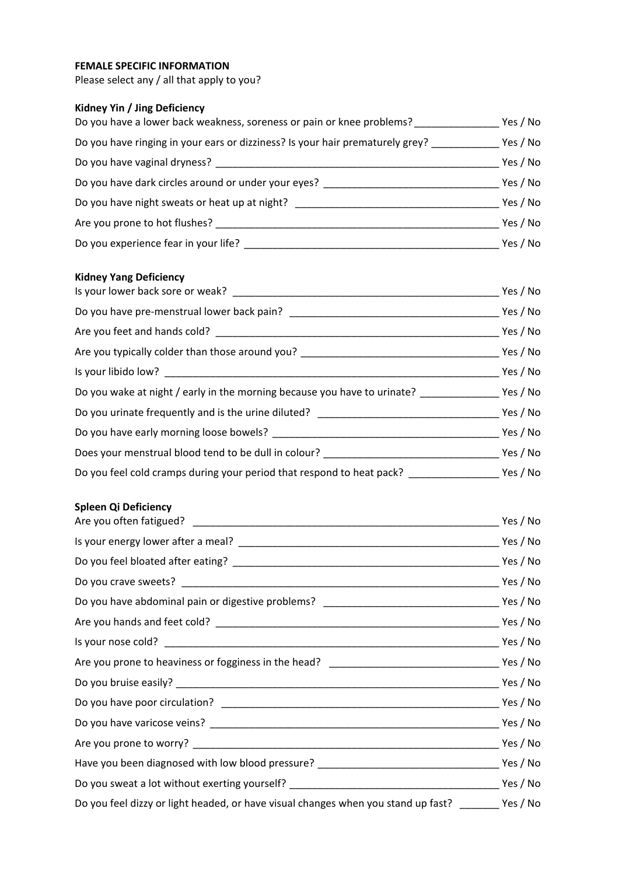## **FEMALE SPECIFIC INFORMATION**

Please select any / all that apply to you?

# **Kidney Yin / Jing Deficiency**

| Do you have a lower back weakness, soreness or pain or knee problems?         | Yes / No |
|-------------------------------------------------------------------------------|----------|
| Do you have ringing in your ears or dizziness? Is your hair prematurely grey? | Yes / No |
| Do you have vaginal dryness?                                                  | Yes / No |
| Do you have dark circles around or under your eyes?                           | Yes / No |
| Do you have night sweats or heat up at night?                                 | Yes / No |
| Are you prone to hot flushes?                                                 | Yes / No |
| Do you experience fear in your life?                                          | Yes / No |

#### **Kidney Yang Deficiency**

|                                                                                   | Yes / No |
|-----------------------------------------------------------------------------------|----------|
| Do you have pre-menstrual lower back pain?                                        | Yes / No |
|                                                                                   | Yes / No |
| Are you typically colder than those around you? _________________________________ | Yes / No |
|                                                                                   | Yes / No |
|                                                                                   |          |
| Do you urinate frequently and is the urine diluted? ____________________________  | Yes / No |
|                                                                                   | Yes / No |
| Does your menstrual blood tend to be dull in colour? ___________________________  | Yes / No |
| Do you feel cold cramps during your period that respond to heat pack? ___________ | Yes / No |

# **Spleen Qi Deficiency**

|                                                                                                     | Yes / No |
|-----------------------------------------------------------------------------------------------------|----------|
|                                                                                                     |          |
|                                                                                                     |          |
|                                                                                                     |          |
|                                                                                                     |          |
|                                                                                                     |          |
|                                                                                                     |          |
|                                                                                                     |          |
|                                                                                                     |          |
|                                                                                                     |          |
|                                                                                                     |          |
|                                                                                                     |          |
|                                                                                                     |          |
|                                                                                                     |          |
| Do you feel dizzy or light headed, or have visual changes when you stand up fast? ________ Yes / No |          |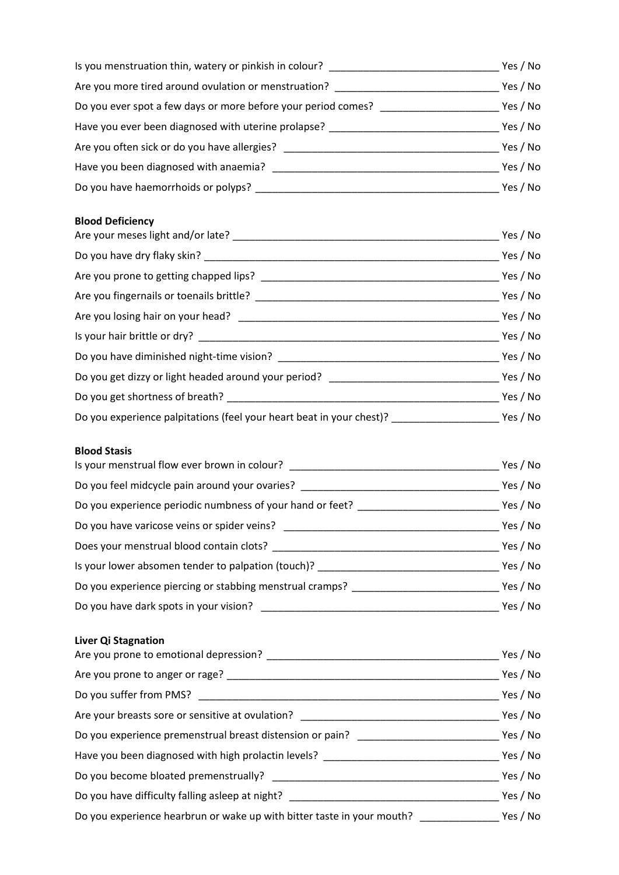| Is you menstruation thin, watery or pinkish in colour?        | Yes / No |
|---------------------------------------------------------------|----------|
| Are you more tired around ovulation or menstruation?          | Yes / No |
| Do you ever spot a few days or more before your period comes? | Yes / No |
| Have you ever been diagnosed with uterine prolapse?           | Yes / No |
| Are you often sick or do you have allergies?                  | Yes / No |
| Have you been diagnosed with anaemia?                         | Yes / No |
| Do you have haemorrhoids or polyps?                           | Yes / No |

# **Blood Deficiency**

|  | Yes / No |  |
|--|----------|--|
|  | Yes / No |  |
|  | Yes / No |  |
|  | Yes / No |  |
|  | Yes / No |  |
|  | Yes / No |  |
|  |          |  |
|  |          |  |
|  | Yes / No |  |
|  |          |  |

## **Blood Stasis**

| Is your menstrual flow ever brown in colour?              | Yes / No |  |
|-----------------------------------------------------------|----------|--|
| Do you feel midcycle pain around your ovaries?            | Yes / No |  |
| Do you experience periodic numbness of your hand or feet? |          |  |
| Do you have varicose veins or spider veins?               | Yes / No |  |
| Does your menstrual blood contain clots?                  |          |  |
| Is your lower absomen tender to palpation (touch)?        | Yes / No |  |
| Do you experience piercing or stabbing menstrual cramps?  |          |  |
| Do you have dark spots in your vision?                    | Yes / No |  |
|                                                           |          |  |

# **Liver Qi Stagnation**

|                                                                                                 | Yes / No |  |
|-------------------------------------------------------------------------------------------------|----------|--|
| Are you prone to anger or rage?                                                                 | Yes / No |  |
| Do you suffer from PMS? _____________                                                           | Yes / No |  |
| Are your breasts sore or sensitive at ovulation? ________________________________               | Yes / No |  |
| Do you experience premenstrual breast distension or pain?                                       | Yes / No |  |
| Have you been diagnosed with high prolactin levels? ____________________________                | Yes / No |  |
| Do you become bloated premenstrually?                                                           | Yes / No |  |
| Do you have difficulty falling asleep at night? Do you have difficulty falling asleep at night? | Yes / No |  |
| Do you experience hearbrun or wake up with bitter taste in your mouth? __________               |          |  |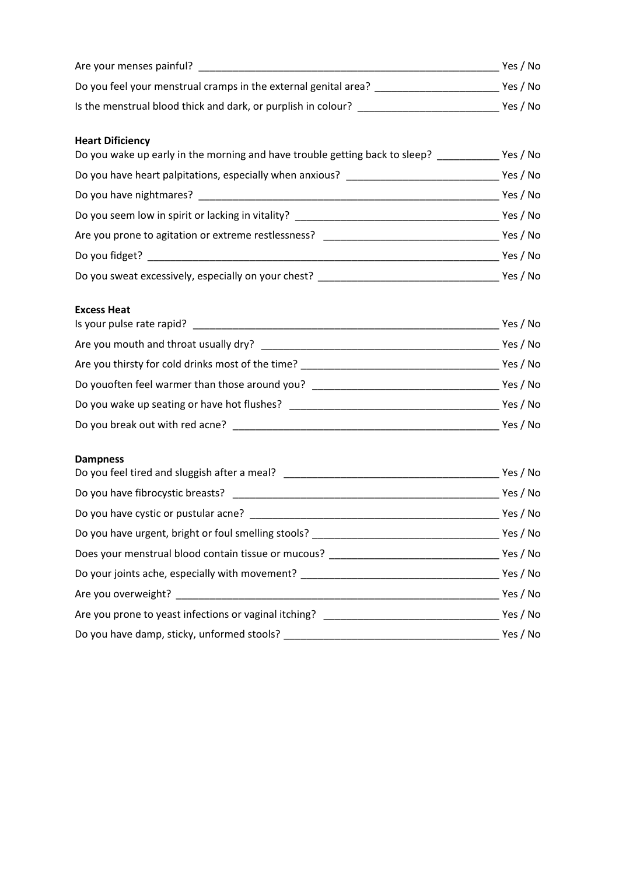| <b>Heart Dificiency</b><br>Do you wake up early in the morning and have trouble getting back to sleep? ___________ Yes / No |  |
|-----------------------------------------------------------------------------------------------------------------------------|--|
|                                                                                                                             |  |
|                                                                                                                             |  |
|                                                                                                                             |  |
|                                                                                                                             |  |
|                                                                                                                             |  |
|                                                                                                                             |  |
| <b>Excess Heat</b>                                                                                                          |  |
|                                                                                                                             |  |
|                                                                                                                             |  |
|                                                                                                                             |  |
|                                                                                                                             |  |
|                                                                                                                             |  |
|                                                                                                                             |  |

# **Dampness**

| Do you feel tired and sluggish after a meal? ___________________________________  | Yes / No |
|-----------------------------------------------------------------------------------|----------|
|                                                                                   | Yes / No |
|                                                                                   | Yes / No |
| Do you have urgent, bright or foul smelling stools? _____________________________ | Yes / No |
| Does your menstrual blood contain tissue or mucous? ____________________________  | Yes / No |
| Do your joints ache, especially with movement? _________________________________  | Yes / No |
| Are you overweight?                                                               | Yes / No |
| Are you prone to yeast infections or vaginal itching? __________________________  | Yes / No |
| Do you have damp, sticky, unformed stools?                                        | Yes / No |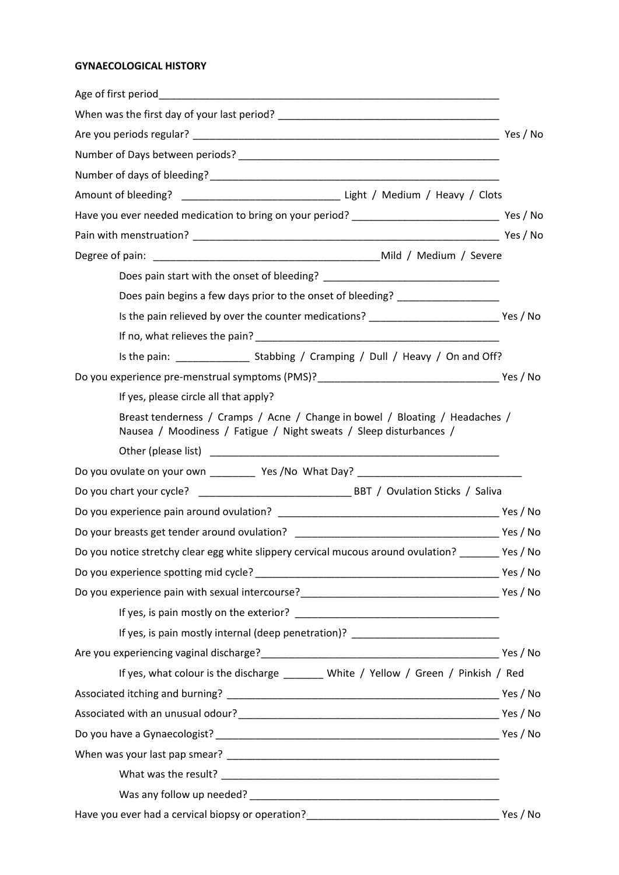# **GYNAECOLOGICAL HISTORY**

| Have you ever needed medication to bring on your period? ___________________________________ Yes / No                                              |          |
|----------------------------------------------------------------------------------------------------------------------------------------------------|----------|
|                                                                                                                                                    |          |
|                                                                                                                                                    |          |
|                                                                                                                                                    |          |
| Does pain begins a few days prior to the onset of bleeding? ____________________                                                                   |          |
|                                                                                                                                                    |          |
|                                                                                                                                                    |          |
|                                                                                                                                                    |          |
|                                                                                                                                                    |          |
| If yes, please circle all that apply?                                                                                                              |          |
| Breast tenderness / Cramps / Acne / Change in bowel / Bloating / Headaches /<br>Nausea / Moodiness / Fatigue / Night sweats / Sleep disturbances / |          |
|                                                                                                                                                    |          |
| Do you ovulate on your own ____________ Yes /No What Day? _______________________                                                                  |          |
|                                                                                                                                                    |          |
|                                                                                                                                                    |          |
|                                                                                                                                                    |          |
| Do you notice stretchy clear egg white slippery cervical mucous around ovulation? ________ Yes / No                                                |          |
|                                                                                                                                                    |          |
|                                                                                                                                                    |          |
|                                                                                                                                                    |          |
| If yes, is pain mostly internal (deep penetration)? ____________________________                                                                   |          |
|                                                                                                                                                    |          |
| If yes, what colour is the discharge _______ White / Yellow / Green / Pinkish / Red                                                                |          |
|                                                                                                                                                    |          |
|                                                                                                                                                    |          |
|                                                                                                                                                    |          |
|                                                                                                                                                    |          |
|                                                                                                                                                    |          |
|                                                                                                                                                    |          |
|                                                                                                                                                    | Yes / No |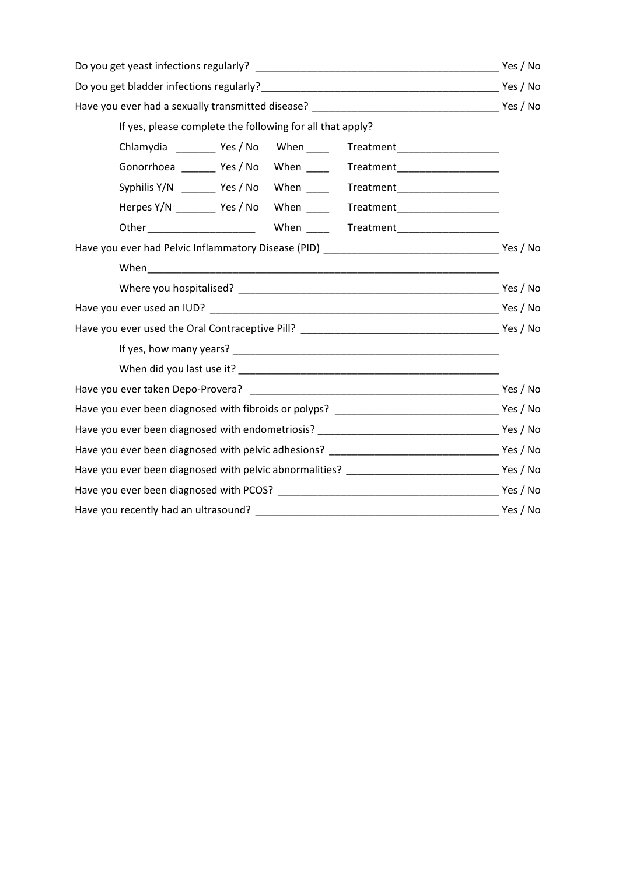| If yes, please complete the following for all that apply?                        |  |
|----------------------------------------------------------------------------------|--|
| Chlamydia __________ Yes / No When _____ Treatment ________________________      |  |
| Gonorrhoea _________ Yes / No When ______ Treatment ____________________________ |  |
| Syphilis Y/N _________ Yes / No When ______ Treatment______________________      |  |
| Herpes Y/N __________ Yes / No When ______ Treatment ___________________________ |  |
|                                                                                  |  |
|                                                                                  |  |
|                                                                                  |  |
|                                                                                  |  |
|                                                                                  |  |
|                                                                                  |  |
|                                                                                  |  |
|                                                                                  |  |
|                                                                                  |  |
|                                                                                  |  |
|                                                                                  |  |
|                                                                                  |  |
|                                                                                  |  |
|                                                                                  |  |
|                                                                                  |  |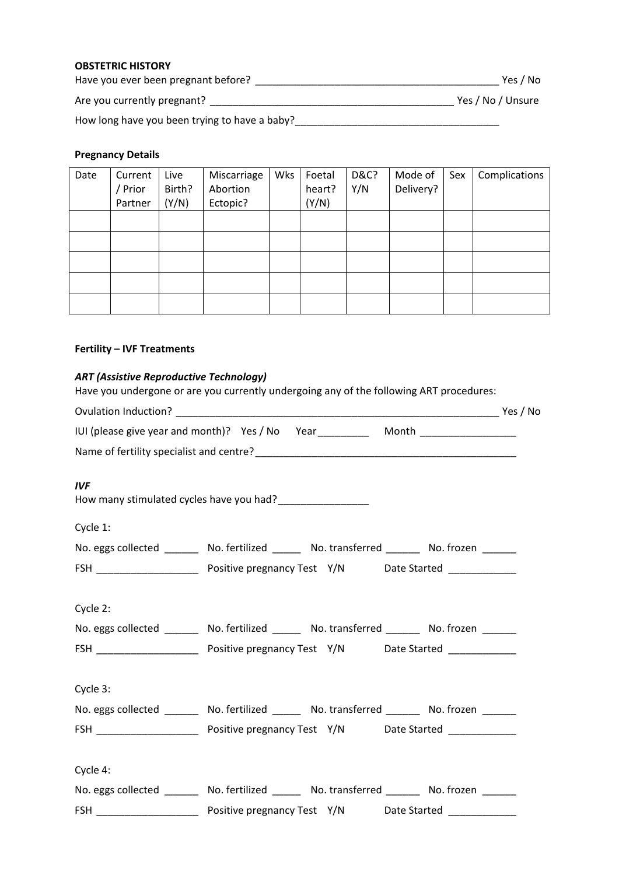## **OBSTETRIC HISTORY**

Have you ever been pregnant before? \_\_\_\_\_\_\_\_\_\_\_\_\_\_\_\_\_\_\_\_\_\_\_\_\_\_\_\_\_\_\_\_\_\_\_\_\_\_\_\_\_\_\_ Yes / No Are you currently pregnant? \_\_\_\_\_\_\_\_\_\_\_\_\_\_\_\_\_\_\_\_\_\_\_\_\_\_\_\_\_\_\_\_\_\_\_\_\_\_\_\_\_\_\_ Yes / No / Unsure

How long have you been trying to have a baby?\_\_\_\_\_\_\_\_\_\_\_\_\_\_\_\_\_\_\_\_\_\_\_\_\_\_\_\_\_\_\_\_\_\_\_\_

## **Pregnancy Details**

| Date | Current<br>Prior<br>Partner | Live<br>Birth?<br>(Y/N) | Miscarriage<br>Abortion<br>Ectopic? | Wks | Foetal<br>heart?<br>(Y/N) | <b>D&amp;C?</b><br>Y/N | Mode of<br>Delivery? | Sex | Complications |
|------|-----------------------------|-------------------------|-------------------------------------|-----|---------------------------|------------------------|----------------------|-----|---------------|
|      |                             |                         |                                     |     |                           |                        |                      |     |               |
|      |                             |                         |                                     |     |                           |                        |                      |     |               |
|      |                             |                         |                                     |     |                           |                        |                      |     |               |
|      |                             |                         |                                     |     |                           |                        |                      |     |               |
|      |                             |                         |                                     |     |                           |                        |                      |     |               |

# **Fertility – IVF Treatments**

#### *ART (Assistive Reproductive Technology)*

Have you undergone or are you currently undergoing any of the following ART procedures:

|            | IUI (please give year and month)? Yes / No Year ___________ Month ______________           |  |
|------------|--------------------------------------------------------------------------------------------|--|
|            |                                                                                            |  |
| <b>IVF</b> | How many stimulated cycles have you had?__________________                                 |  |
| Cycle 1:   |                                                                                            |  |
|            | No. eggs collected ________ No. fertilized ______ No. transferred ______ No. frozen ______ |  |
|            |                                                                                            |  |
|            |                                                                                            |  |
| Cycle 2:   |                                                                                            |  |
|            | No. eggs collected ________ No. fertilized ______ No. transferred ______ No. frozen ______ |  |
|            |                                                                                            |  |
|            |                                                                                            |  |
| Cycle 3:   |                                                                                            |  |
|            | No. eggs collected _______ No. fertilized _____ No. transferred ______ No. frozen ______   |  |
|            |                                                                                            |  |
|            |                                                                                            |  |
| Cycle 4:   |                                                                                            |  |
|            | No. eggs collected ________ No. fertilized ______ No. transferred ______ No. frozen ______ |  |
|            |                                                                                            |  |
|            |                                                                                            |  |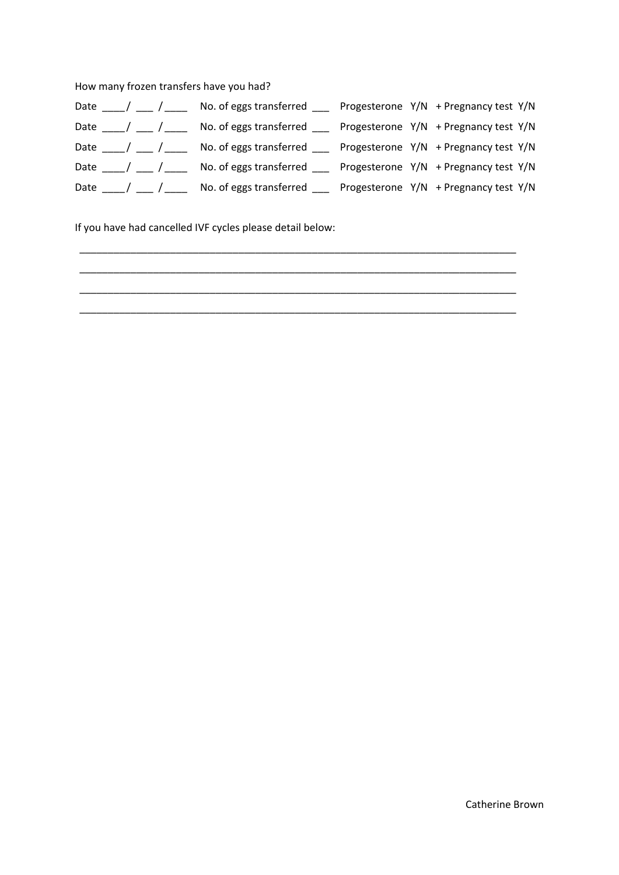How many frozen transfers have you had?

| Date $\frac{1}{\sqrt{2}}$ | No. of eggs transferred _____ Progesterone $Y/N$ + Pregnancy test $Y/N$               |  |                                       |  |
|---------------------------|---------------------------------------------------------------------------------------|--|---------------------------------------|--|
|                           | Date ___/ ___ / ___ No. of eggs transferred ___ Progesterone Y/N + Pregnancy test Y/N |  |                                       |  |
| Date $\frac{1}{\sqrt{2}}$ | No. of eggs transferred $\qquad$ Progesterone Y/N + Pregnancy test Y/N                |  |                                       |  |
|                           | No. of eggs transferred $\qquad$ Progesterone Y/N + Pregnancy test Y/N                |  |                                       |  |
| Date ____/ ___ / ___      | No. of eggs transferred                                                               |  | Progesterone Y/N + Pregnancy test Y/N |  |

\_\_\_\_\_\_\_\_\_\_\_\_\_\_\_\_\_\_\_\_\_\_\_\_\_\_\_\_\_\_\_\_\_\_\_\_\_\_\_\_\_\_\_\_\_\_\_\_\_\_\_\_\_\_\_\_\_\_\_\_\_\_\_\_\_\_\_\_\_\_\_\_\_\_\_\_\_ \_\_\_\_\_\_\_\_\_\_\_\_\_\_\_\_\_\_\_\_\_\_\_\_\_\_\_\_\_\_\_\_\_\_\_\_\_\_\_\_\_\_\_\_\_\_\_\_\_\_\_\_\_\_\_\_\_\_\_\_\_\_\_\_\_\_\_\_\_\_\_\_\_\_\_\_\_ \_\_\_\_\_\_\_\_\_\_\_\_\_\_\_\_\_\_\_\_\_\_\_\_\_\_\_\_\_\_\_\_\_\_\_\_\_\_\_\_\_\_\_\_\_\_\_\_\_\_\_\_\_\_\_\_\_\_\_\_\_\_\_\_\_\_\_\_\_\_\_\_\_\_\_\_\_ \_\_\_\_\_\_\_\_\_\_\_\_\_\_\_\_\_\_\_\_\_\_\_\_\_\_\_\_\_\_\_\_\_\_\_\_\_\_\_\_\_\_\_\_\_\_\_\_\_\_\_\_\_\_\_\_\_\_\_\_\_\_\_\_\_\_\_\_\_\_\_\_\_\_\_\_\_

If you have had cancelled IVF cycles please detail below: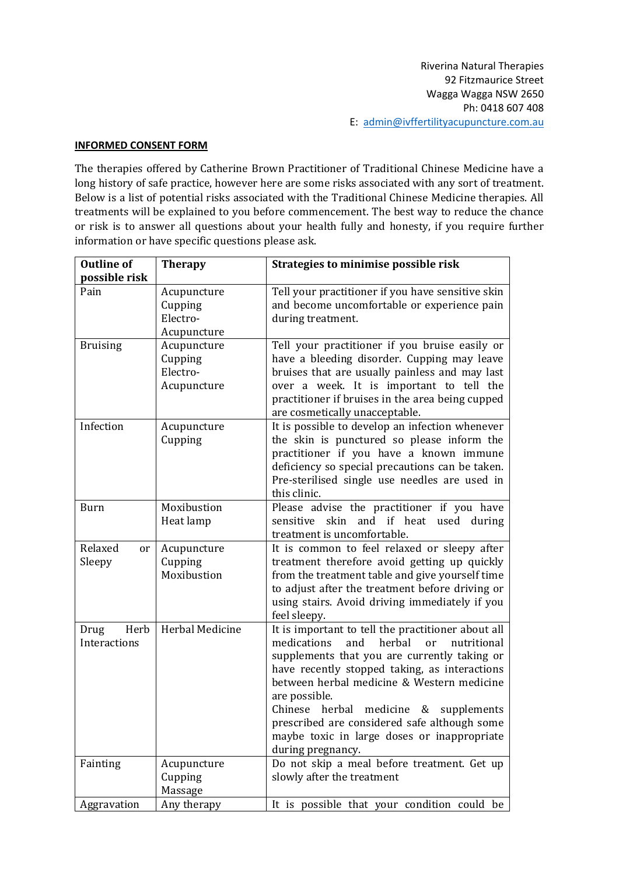#### **INFORMED CONSENT FORM**

The therapies offered by Catherine Brown Practitioner of Traditional Chinese Medicine have a long history of safe practice, however here are some risks associated with any sort of treatment. Below is a list of potential risks associated with the Traditional Chinese Medicine therapies. All treatments will be explained to you before commencement. The best way to reduce the chance or risk is to answer all questions about your health fully and honesty, if you require further information or have specific questions please ask.

| <b>Outline of</b>            | <b>Therapy</b>                                    | Strategies to minimise possible risk                                                                                                                                                                                                                                                                                                                                                                                                 |
|------------------------------|---------------------------------------------------|--------------------------------------------------------------------------------------------------------------------------------------------------------------------------------------------------------------------------------------------------------------------------------------------------------------------------------------------------------------------------------------------------------------------------------------|
| possible risk                |                                                   |                                                                                                                                                                                                                                                                                                                                                                                                                                      |
| Pain                         | Acupuncture<br>Cupping<br>Electro-<br>Acupuncture | Tell your practitioner if you have sensitive skin<br>and become uncomfortable or experience pain<br>during treatment.                                                                                                                                                                                                                                                                                                                |
| <b>Bruising</b>              | Acupuncture<br>Cupping<br>Electro-<br>Acupuncture | Tell your practitioner if you bruise easily or<br>have a bleeding disorder. Cupping may leave<br>bruises that are usually painless and may last<br>over a week. It is important to tell the<br>practitioner if bruises in the area being cupped<br>are cosmetically unacceptable.                                                                                                                                                    |
| Infection                    | Acupuncture<br>Cupping                            | It is possible to develop an infection whenever<br>the skin is punctured so please inform the<br>practitioner if you have a known immune<br>deficiency so special precautions can be taken.<br>Pre-sterilised single use needles are used in<br>this clinic.                                                                                                                                                                         |
| <b>Burn</b>                  | Moxibustion<br>Heat lamp                          | Please advise the practitioner if you have<br>skin<br>and if heat used during<br>sensitive<br>treatment is uncomfortable.                                                                                                                                                                                                                                                                                                            |
| Relaxed<br>or<br>Sleepy      | Acupuncture<br>Cupping<br>Moxibustion             | It is common to feel relaxed or sleepy after<br>treatment therefore avoid getting up quickly<br>from the treatment table and give yourself time<br>to adjust after the treatment before driving or<br>using stairs. Avoid driving immediately if you<br>feel sleepy.                                                                                                                                                                 |
| Herb<br>Drug<br>Interactions | Herbal Medicine                                   | It is important to tell the practitioner about all<br>medications<br>and<br>herbal<br>nutritional<br>or<br>supplements that you are currently taking or<br>have recently stopped taking, as interactions<br>between herbal medicine & Western medicine<br>are possible.<br>Chinese herbal medicine & supplements<br>prescribed are considered safe although some<br>maybe toxic in large doses or inappropriate<br>during pregnancy. |
| Fainting                     | Acupuncture<br>Cupping                            | Do not skip a meal before treatment. Get up<br>slowly after the treatment                                                                                                                                                                                                                                                                                                                                                            |
|                              | Massage                                           |                                                                                                                                                                                                                                                                                                                                                                                                                                      |
| Aggravation                  | Any therapy                                       | It is possible that your condition could be                                                                                                                                                                                                                                                                                                                                                                                          |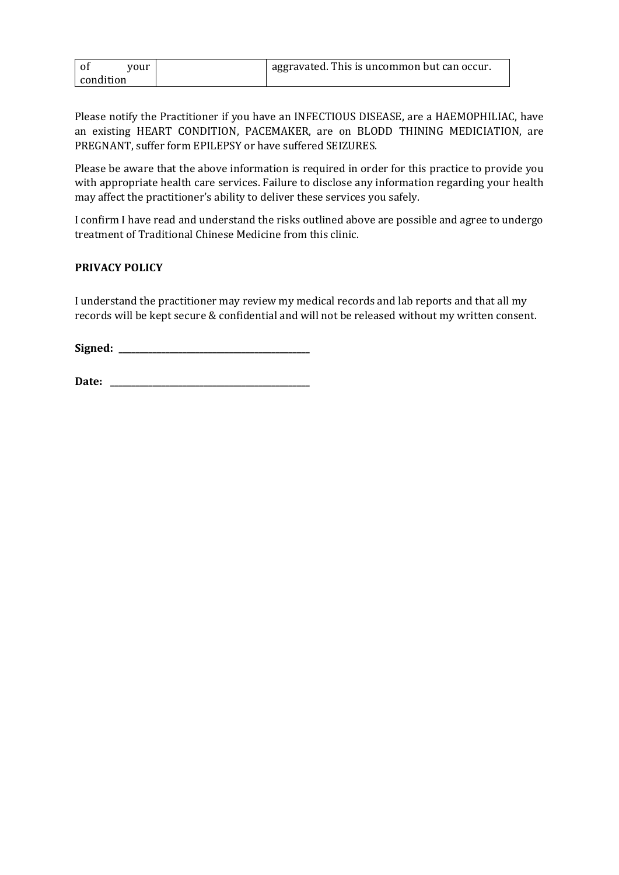| 0t<br>vour | aggravated. This is uncommon but can occur. |
|------------|---------------------------------------------|
| condition  |                                             |

Please notify the Practitioner if you have an INFECTIOUS DISEASE, are a HAEMOPHILIAC, have an existing HEART CONDITION, PACEMAKER, are on BLODD THINING MEDICIATION, are PREGNANT, suffer form EPILEPSY or have suffered SEIZURES.

Please be aware that the above information is required in order for this practice to provide you with appropriate health care services. Failure to disclose any information regarding your health may affect the practitioner's ability to deliver these services you safely.

I confirm I have read and understand the risks outlined above are possible and agree to undergo treatment of Traditional Chinese Medicine from this clinic.

## **PRIVACY POLICY**

I understand the practitioner may review my medical records and lab reports and that all my records will be kept secure & confidential and will not be released without my written consent.

Signed:

**Date: \_\_\_\_\_\_\_\_\_\_\_\_\_\_\_\_\_\_\_\_\_\_\_\_\_\_\_\_\_\_\_\_\_\_\_\_\_\_\_\_\_\_\_\_\_\_\_**